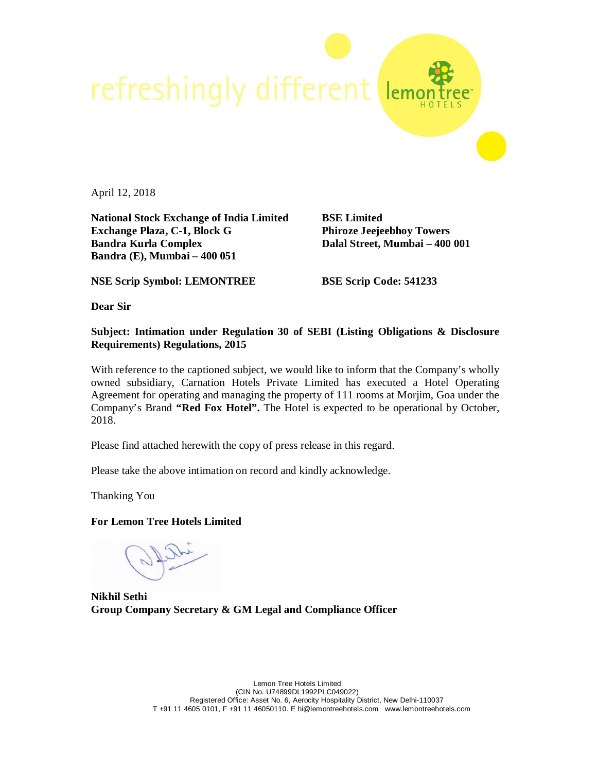

April 12, 2018

**National Stock Exchange of India Limited BSE Limited Exchange Plaza, C-1, Block G Phiroze Jeejeebhoy Towers Bandra Kurla Complex Dalal Street, Mumbai – 400 001 Bandra (E), Mumbai – 400 051**

**NSE Scrip Symbol: LEMONTREE BSE Scrip Code: 541233**

**Dear Sir**

## **Subject: Intimation under Regulation 30 of SEBI (Listing Obligations & Disclosure Requirements) Regulations, 2015**

With reference to the captioned subject, we would like to inform that the Company's wholly owned subsidiary, Carnation Hotels Private Limited has executed a Hotel Operating Agreement for operating and managing the property of 111 rooms at Morjim, Goa under the Company's Brand **"Red Fox Hotel".** The Hotel is expected to be operational by October, 2018.

Please find attached herewith the copy of press release in this regard.

Please take the above intimation on record and kindly acknowledge.

Thanking You

**For Lemon Tree Hotels Limited**

**Nikhil Sethi Group Company Secretary & GM Legal and Compliance Officer**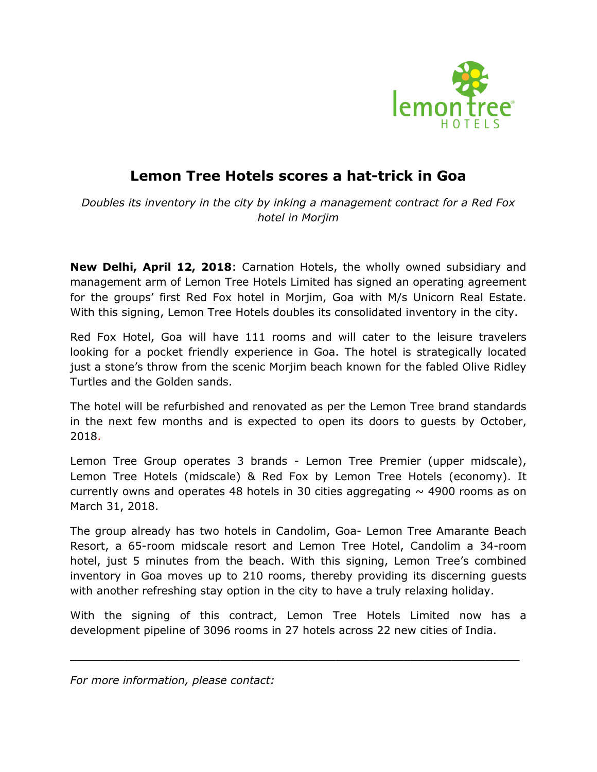

## **Lemon Tree Hotels scores a hat-trick in Goa**

*Doubles its inventory in the city by inking a management contract for a Red Fox hotel in Morjim*

**New Delhi, April 12, 2018**: Carnation Hotels, the wholly owned subsidiary and management arm of Lemon Tree Hotels Limited has signed an operating agreement for the groups' first Red Fox hotel in Morjim, Goa with M/s Unicorn Real Estate. With this signing, Lemon Tree Hotels doubles its consolidated inventory in the city.

Red Fox Hotel, Goa will have 111 rooms and will cater to the leisure travelers looking for a pocket friendly experience in Goa. The hotel is strategically located just a stone's throw from the scenic Morjim beach known for the fabled Olive Ridley Turtles and the Golden sands.

The hotel will be refurbished and renovated as per the Lemon Tree brand standards in the next few months and is expected to open its doors to guests by October, 2018.

Lemon Tree Group operates 3 brands - Lemon Tree Premier (upper midscale), Lemon Tree Hotels (midscale) & Red Fox by Lemon Tree Hotels (economy). It currently owns and operates 48 hotels in 30 cities aggregating  $\sim$  4900 rooms as on March 31, 2018.

The group already has two hotels in Candolim, Goa- Lemon Tree Amarante Beach Resort, a 65-room midscale resort and Lemon Tree Hotel, Candolim a 34-room hotel, just 5 minutes from the beach. With this signing, Lemon Tree's combined inventory in Goa moves up to 210 rooms, thereby providing its discerning guests with another refreshing stay option in the city to have a truly relaxing holiday.

With the signing of this contract, Lemon Tree Hotels Limited now has a development pipeline of 3096 rooms in 27 hotels across 22 new cities of India.

 $\_$  ,  $\_$  ,  $\_$  ,  $\_$  ,  $\_$  ,  $\_$  ,  $\_$  ,  $\_$  ,  $\_$  ,  $\_$  ,  $\_$  ,  $\_$  ,  $\_$  ,  $\_$  ,  $\_$  ,  $\_$  ,  $\_$  ,  $\_$  ,  $\_$  ,  $\_$  ,  $\_$  ,  $\_$  ,  $\_$  ,  $\_$  ,  $\_$  ,  $\_$  ,  $\_$  ,  $\_$  ,  $\_$  ,  $\_$  ,  $\_$  ,  $\_$  ,  $\_$  ,  $\_$  ,  $\_$  ,  $\_$  ,  $\_$  ,

*For more information, please contact:*